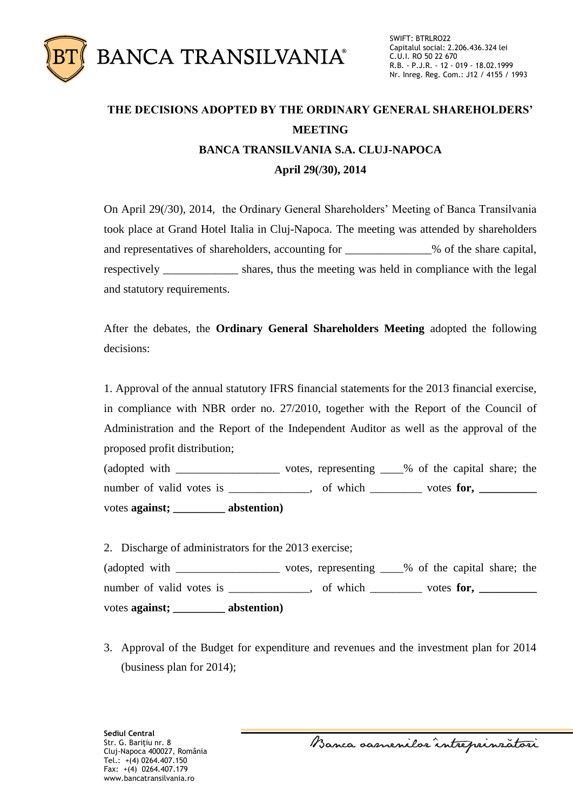

## **THE DECISIONS ADOPTED BY THE ORDINARY GENERAL SHAREHOLDERS' MEETING BANCA TRANSILVANIA S.A. CLUJ-NAPOCA April 29(/30), 2014**

On April 29(/30), 2014, the Ordinary General Shareholders' Meeting of Banca Transilvania took place at Grand Hotel Italia in Cluj-Napoca. The meeting was attended by shareholders and representatives of shareholders, accounting for \_\_\_\_\_\_\_\_\_\_\_\_\_\_\_% of the share capital, respectively shares, thus the meeting was held in compliance with the legal and statutory requirements.

After the debates, the **Ordinary General Shareholders Meeting** adopted the following decisions:

1. Approval of the annual statutory IFRS financial statements for the 2013 financial exercise, in compliance with NBR order no. 27/2010, together with the Report of the Council of Administration and the Report of the Independent Auditor as well as the approval of the proposed profit distribution;

(adopted with  $\Box$  votes, representing  $\Box$ % of the capital share; the number of valid votes is \_\_\_\_\_\_\_\_\_\_\_\_, of which \_\_\_\_\_\_\_\_ votes for, \_\_\_\_\_\_\_\_\_\_\_ votes **against; \_\_\_\_\_\_\_\_\_ abstention)**

2. Discharge of administrators for the 2013 exercise; (adopted with \_\_\_\_\_\_\_\_\_\_\_\_\_\_\_\_\_\_ votes, representing \_\_\_\_% of the capital share; the number of valid votes is \_\_\_\_\_\_\_\_\_\_, of which \_\_\_\_\_\_ votes for, \_\_\_\_\_\_\_\_ votes **against; \_\_\_\_\_\_\_\_\_ abstention)**

3. Approval of the Budget for expenditure and revenues and the investment plan for 2014 (business plan for 2014);

Banca samenilor intreprinzatori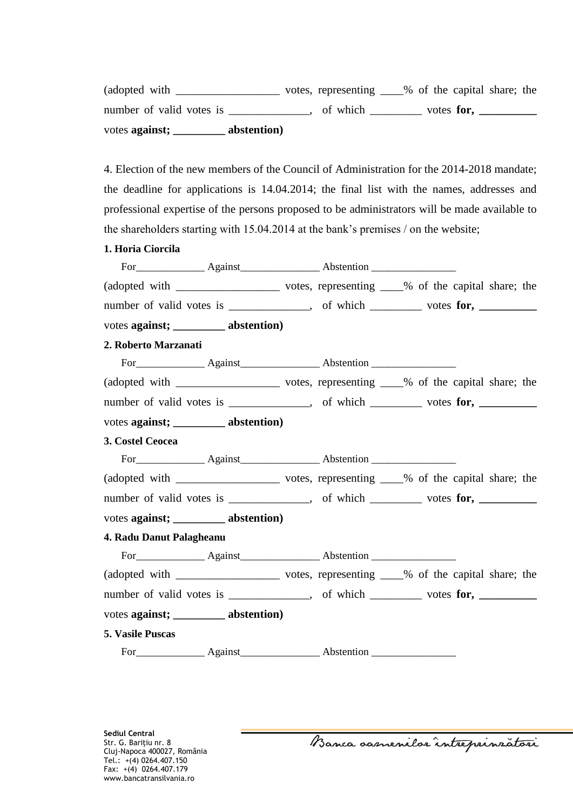(adopted with \_\_\_\_\_\_\_\_\_\_\_\_\_\_\_\_\_\_ votes, representing \_\_\_\_% of the capital share; the number of valid votes is \_\_\_\_\_\_\_\_\_\_, of which \_\_\_\_\_\_\_ votes for, \_\_\_\_\_\_\_\_\_ votes **against; \_\_\_\_\_\_\_\_\_ abstention)**

4. Election of the new members of the Council of Administration for the 2014-2018 mandate; the deadline for applications is 14.04.2014; the final list with the names, addresses and professional expertise of the persons proposed to be administrators will be made available to the shareholders starting with 15.04.2014 at the bank's premises / on the website;

**1. Horia Ciorcila**

|                          |                                       | number of valid votes is ____________, of which _______ votes for, _________ |  |  |
|--------------------------|---------------------------------------|------------------------------------------------------------------------------|--|--|
|                          | votes against; __________ abstention) |                                                                              |  |  |
| 2. Roberto Marzanati     |                                       |                                                                              |  |  |
|                          |                                       |                                                                              |  |  |
|                          |                                       |                                                                              |  |  |
|                          |                                       | number of valid votes is ____________, of which _______ votes for, _________ |  |  |
|                          | votes against; __________ abstention) |                                                                              |  |  |
| 3. Costel Ceocea         |                                       |                                                                              |  |  |
|                          |                                       |                                                                              |  |  |
|                          |                                       |                                                                              |  |  |
|                          |                                       | number of valid votes is ____________, of which _______ votes for, _________ |  |  |
|                          | votes against; _________ abstention)  |                                                                              |  |  |
| 4. Radu Danut Palagheanu |                                       |                                                                              |  |  |
|                          |                                       |                                                                              |  |  |
|                          |                                       |                                                                              |  |  |
|                          |                                       | number of valid votes is ___________, of which _______ votes for, ________   |  |  |
|                          | votes against; __________ abstention) |                                                                              |  |  |
| 5. Vasile Puscas         |                                       |                                                                              |  |  |
|                          |                                       | For Against Abstention                                                       |  |  |

Banca oasnenilos întreprinzatori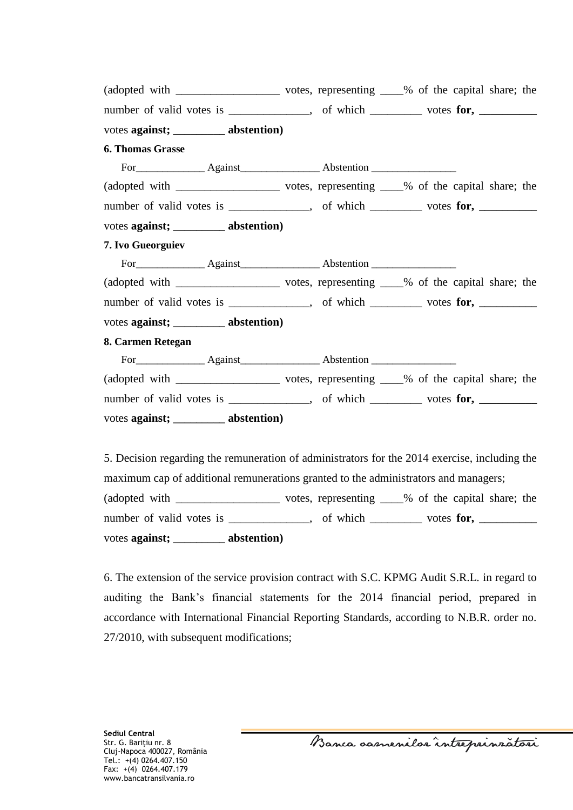| number of valid votes is ____________, of which _______ votes for, _________    |  |  |  |
|---------------------------------------------------------------------------------|--|--|--|
| votes against; __________ abstention)                                           |  |  |  |
| <b>6. Thomas Grasse</b>                                                         |  |  |  |
| For Against Against Abstention                                                  |  |  |  |
|                                                                                 |  |  |  |
| number of valid votes is ____________, of which ________ votes for, _________   |  |  |  |
| votes against; __________ abstention)                                           |  |  |  |
| 7. Ivo Gueorguiev                                                               |  |  |  |
|                                                                                 |  |  |  |
|                                                                                 |  |  |  |
| number of valid votes is _____________, of which ________ votes for, __________ |  |  |  |
| votes against; _________ abstention)                                            |  |  |  |
| 8. Carmen Retegan                                                               |  |  |  |
|                                                                                 |  |  |  |
|                                                                                 |  |  |  |
| number of valid votes is ____________, of which _______ votes for, _________    |  |  |  |
| votes against; __________ abstention)                                           |  |  |  |

5. Decision regarding the remuneration of administrators for the 2014 exercise, including the maximum cap of additional remunerations granted to the administrators and managers; (adopted with \_\_\_\_\_\_\_\_\_\_\_\_\_\_\_\_\_\_ votes, representing \_\_\_\_% of the capital share; the number of valid votes is \_\_\_\_\_\_\_\_\_\_, of which \_\_\_\_\_\_\_ votes for, \_\_\_\_\_\_\_\_\_ votes **against; \_\_\_\_\_\_\_\_\_ abstention)**

6. The extension of the service provision contract with S.C. KPMG Audit S.R.L. in regard to auditing the Bank's financial statements for the 2014 financial period, prepared in accordance with International Financial Reporting Standards, according to N.B.R. order no. 27/2010, with subsequent modifications;

Banca oasnenilos întreprinzatori